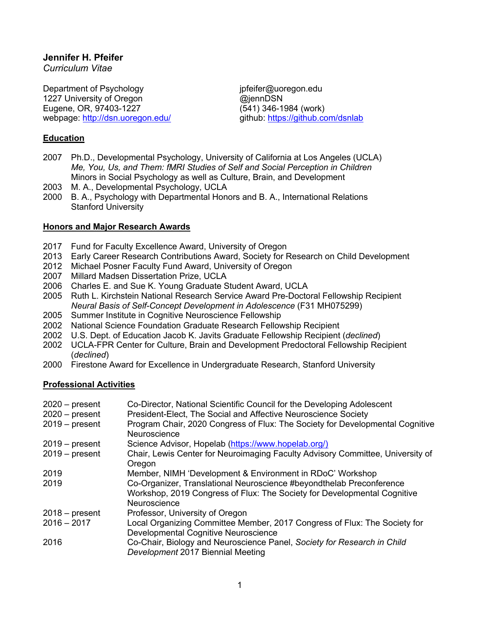# **Jennifer H. Pfeifer**

*Curriculum Vitae*

Department of Psychology intervalsedual presention of property intervalsedual presention of Psychology 1227 University of Oregon **by Community** @jennDSN Eugene, OR, 97403-1227 (541) 346-1984 (work) webpage: http://dsn.uoregon.edu/ entity are github: https://github.com/dsnlab

# **Education**

- 2007 Ph.D., Developmental Psychology, University of California at Los Angeles (UCLA) *Me, You, Us, and Them: fMRI Studies of Self and Social Perception in Children* Minors in Social Psychology as well as Culture, Brain, and Development
- 2003 M. A., Developmental Psychology, UCLA
- 2000 B. A., Psychology with Departmental Honors and B. A., International Relations Stanford University

## **Honors and Major Research Awards**

- 2017 Fund for Faculty Excellence Award, University of Oregon
- 2013 Early Career Research Contributions Award, Society for Research on Child Development
- 2012 Michael Posner Faculty Fund Award, University of Oregon
- 2007 Millard Madsen Dissertation Prize, UCLA
- 2006 Charles E. and Sue K. Young Graduate Student Award, UCLA
- 2005 Ruth L. Kirchstein National Research Service Award Pre-Doctoral Fellowship Recipient *Neural Basis of Self-Concept Development in Adolescence* (F31 MH075299)
- 2005 Summer Institute in Cognitive Neuroscience Fellowship
- 2002 National Science Foundation Graduate Research Fellowship Recipient
- 2002 U.S. Dept. of Education Jacob K. Javits Graduate Fellowship Recipient (*declined*)
- 2002 UCLA-FPR Center for Culture, Brain and Development Predoctoral Fellowship Recipient (*declined*)
- 2000 Firestone Award for Excellence in Undergraduate Research, Stanford University

# **Professional Activities**

| $2020 - present$<br>$2020 - present$<br>$2019 - present$ | Co-Director, National Scientific Council for the Developing Adolescent<br>President-Elect, The Social and Affective Neuroscience Society<br>Program Chair, 2020 Congress of Flux: The Society for Developmental Cognitive<br>Neuroscience |
|----------------------------------------------------------|-------------------------------------------------------------------------------------------------------------------------------------------------------------------------------------------------------------------------------------------|
| $2019 - present$                                         | Science Advisor, Hopelab (https://www.hopelab.org/)                                                                                                                                                                                       |
| $2019 - present$                                         | Chair, Lewis Center for Neuroimaging Faculty Advisory Committee, University of<br>Oregon                                                                                                                                                  |
| 2019                                                     | Member, NIMH 'Development & Environment in RDoC' Workshop                                                                                                                                                                                 |
| 2019                                                     | Co-Organizer, Translational Neuroscience #beyondthelab Preconference<br>Workshop, 2019 Congress of Flux: The Society for Developmental Cognitive<br>Neuroscience                                                                          |
| $2018 - present$                                         | Professor, University of Oregon                                                                                                                                                                                                           |
| $2016 - 2017$                                            | Local Organizing Committee Member, 2017 Congress of Flux: The Society for<br>Developmental Cognitive Neuroscience                                                                                                                         |
| 2016                                                     | Co-Chair, Biology and Neuroscience Panel, Society for Research in Child<br>Development 2017 Biennial Meeting                                                                                                                              |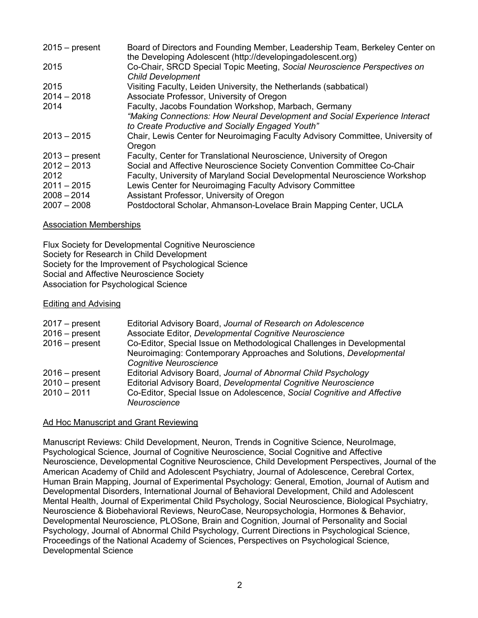| $2015 - present$ | Board of Directors and Founding Member, Leadership Team, Berkeley Center on<br>the Developing Adolescent (http://developingadolescent.org) |
|------------------|--------------------------------------------------------------------------------------------------------------------------------------------|
| 2015             | Co-Chair, SRCD Special Topic Meeting, Social Neuroscience Perspectives on<br><b>Child Development</b>                                      |
| 2015             | Visiting Faculty, Leiden University, the Netherlands (sabbatical)                                                                          |
| $2014 - 2018$    | Associate Professor, University of Oregon                                                                                                  |
| 2014             | Faculty, Jacobs Foundation Workshop, Marbach, Germany                                                                                      |
|                  | "Making Connections: How Neural Development and Social Experience Interact<br>to Create Productive and Socially Engaged Youth"             |
| $2013 - 2015$    | Chair, Lewis Center for Neuroimaging Faculty Advisory Committee, University of<br>Oregon                                                   |
| $2013$ – present | Faculty, Center for Translational Neuroscience, University of Oregon                                                                       |
| $2012 - 2013$    | Social and Affective Neuroscience Society Convention Committee Co-Chair                                                                    |
| 2012             | Faculty, University of Maryland Social Developmental Neuroscience Workshop                                                                 |
| $2011 - 2015$    | Lewis Center for Neuroimaging Faculty Advisory Committee                                                                                   |
| $2008 - 2014$    | Assistant Professor, University of Oregon                                                                                                  |
| $2007 - 2008$    | Postdoctoral Scholar, Ahmanson-Lovelace Brain Mapping Center, UCLA                                                                         |

### Association Memberships

Flux Society for Developmental Cognitive Neuroscience Society for Research in Child Development Society for the Improvement of Psychological Science Social and Affective Neuroscience Society Association for Psychological Science

### Editing and Advising

| $2017 - present$ | Editorial Advisory Board, Journal of Research on Adolescence            |
|------------------|-------------------------------------------------------------------------|
| $2016$ – present | Associate Editor, Developmental Cognitive Neuroscience                  |
| $2016$ – present | Co-Editor, Special Issue on Methodological Challenges in Developmental  |
|                  | Neuroimaging: Contemporary Approaches and Solutions, Developmental      |
|                  | <b>Cognitive Neuroscience</b>                                           |
| $2016$ – present | Editorial Advisory Board, Journal of Abnormal Child Psychology          |
| $2010 - present$ | Editorial Advisory Board, Developmental Cognitive Neuroscience          |
| $2010 - 2011$    | Co-Editor, Special Issue on Adolescence, Social Cognitive and Affective |
|                  | Neuroscience                                                            |

## Ad Hoc Manuscript and Grant Reviewing

Manuscript Reviews: Child Development, Neuron, Trends in Cognitive Science, NeuroImage, Psychological Science, Journal of Cognitive Neuroscience, Social Cognitive and Affective Neuroscience, Developmental Cognitive Neuroscience, Child Development Perspectives, Journal of the American Academy of Child and Adolescent Psychiatry, Journal of Adolescence, Cerebral Cortex, Human Brain Mapping, Journal of Experimental Psychology: General, Emotion, Journal of Autism and Developmental Disorders, International Journal of Behavioral Development, Child and Adolescent Mental Health, Journal of Experimental Child Psychology, Social Neuroscience, Biological Psychiatry, Neuroscience & Biobehavioral Reviews, NeuroCase, Neuropsychologia, Hormones & Behavior, Developmental Neuroscience, PLOSone, Brain and Cognition, Journal of Personality and Social Psychology, Journal of Abnormal Child Psychology, Current Directions in Psychological Science, Proceedings of the National Academy of Sciences, Perspectives on Psychological Science, Developmental Science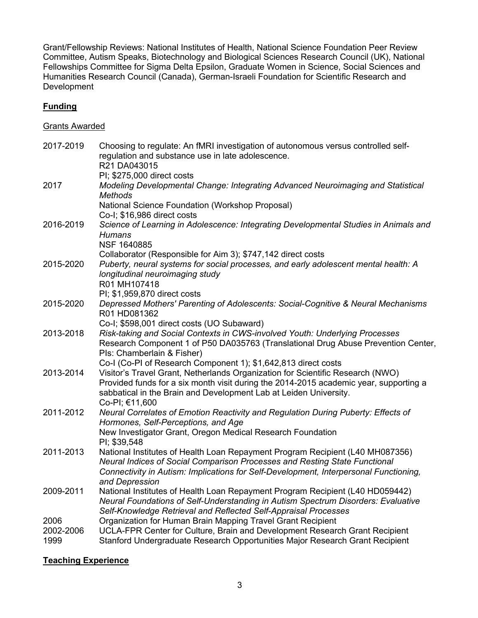Grant/Fellowship Reviews: National Institutes of Health, National Science Foundation Peer Review Committee, Autism Speaks, Biotechnology and Biological Sciences Research Council (UK), National Fellowships Committee for Sigma Delta Epsilon, Graduate Women in Science, Social Sciences and Humanities Research Council (Canada), German-Israeli Foundation for Scientific Research and Development

# **Funding**

## Grants Awarded

| 2017-2019         | Choosing to regulate: An fMRI investigation of autonomous versus controlled self-<br>regulation and substance use in late adolescence.<br>R21 DA043015                                                                                                         |
|-------------------|----------------------------------------------------------------------------------------------------------------------------------------------------------------------------------------------------------------------------------------------------------------|
|                   | PI; \$275,000 direct costs                                                                                                                                                                                                                                     |
| 2017              | Modeling Developmental Change: Integrating Advanced Neuroimaging and Statistical<br>Methods                                                                                                                                                                    |
|                   | National Science Foundation (Workshop Proposal)<br>Co-I; \$16,986 direct costs                                                                                                                                                                                 |
| 2016-2019         | Science of Learning in Adolescence: Integrating Developmental Studies in Animals and<br><b>Humans</b>                                                                                                                                                          |
|                   | <b>NSF 1640885</b><br>Collaborator (Responsible for Aim 3); \$747,142 direct costs                                                                                                                                                                             |
| 2015-2020         | Puberty, neural systems for social processes, and early adolescent mental health: A<br>longitudinal neuroimaging study<br>R01 MH107418                                                                                                                         |
|                   | PI; \$1,959,870 direct costs                                                                                                                                                                                                                                   |
| 2015-2020         | Depressed Mothers' Parenting of Adolescents: Social-Cognitive & Neural Mechanisms<br>R01 HD081362                                                                                                                                                              |
|                   | Co-I; \$598,001 direct costs (UO Subaward)                                                                                                                                                                                                                     |
| 2013-2018         | Risk-taking and Social Contexts in CWS-involved Youth: Underlying Processes<br>Research Component 1 of P50 DA035763 (Translational Drug Abuse Prevention Center,<br>Pls: Chamberlain & Fisher)                                                                 |
|                   | Co-I (Co-PI of Research Component 1); \$1,642,813 direct costs                                                                                                                                                                                                 |
| 2013-2014         | Visitor's Travel Grant, Netherlands Organization for Scientific Research (NWO)<br>Provided funds for a six month visit during the 2014-2015 academic year, supporting a<br>sabbatical in the Brain and Development Lab at Leiden University.<br>Co-PI; €11,600 |
| 2011-2012         | Neural Correlates of Emotion Reactivity and Regulation During Puberty: Effects of<br>Hormones, Self-Perceptions, and Age                                                                                                                                       |
|                   | New Investigator Grant, Oregon Medical Research Foundation<br>PI; \$39,548                                                                                                                                                                                     |
| 2011-2013         | National Institutes of Health Loan Repayment Program Recipient (L40 MH087356)<br>Neural Indices of Social Comparison Processes and Resting State Functional<br>Connectivity in Autism: Implications for Self-Development, Interpersonal Functioning,           |
| 2009-2011         | and Depression<br>National Institutes of Health Loan Repayment Program Recipient (L40 HD059442)<br>Neural Foundations of Self-Understanding in Autism Spectrum Disorders: Evaluative<br>Self-Knowledge Retrieval and Reflected Self-Appraisal Processes        |
| 2006              | Organization for Human Brain Mapping Travel Grant Recipient                                                                                                                                                                                                    |
| 2002-2006<br>1999 | UCLA-FPR Center for Culture, Brain and Development Research Grant Recipient<br>Stanford Undergraduate Research Opportunities Major Research Grant Recipient                                                                                                    |

## **Teaching Experience**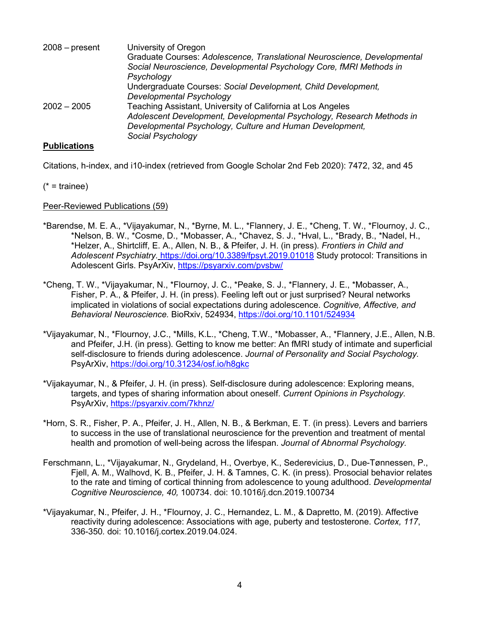| $2008$ – present | University of Oregon                                                     |
|------------------|--------------------------------------------------------------------------|
|                  | Graduate Courses: Adolescence, Translational Neuroscience, Developmental |
|                  | Social Neuroscience, Developmental Psychology Core, fMRI Methods in      |
|                  | Psychology                                                               |
|                  | Undergraduate Courses: Social Development, Child Development,            |
|                  | Developmental Psychology                                                 |
| $2002 - 2005$    | Teaching Assistant, University of California at Los Angeles              |
|                  | Adolescent Development, Developmental Psychology, Research Methods in    |
|                  | Developmental Psychology, Culture and Human Development,                 |
|                  | Social Psychology                                                        |
|                  |                                                                          |

### **Publications**

Citations, h-index, and i10-index (retrieved from Google Scholar 2nd Feb 2020): 7472, 32, and 45

 $(* = \text{triangle})$ 

Peer-Reviewed Publications (59)

- \*Barendse, M. E. A., \*Vijayakumar, N., \*Byrne, M. L., \*Flannery, J. E., \*Cheng, T. W., \*Flournoy, J. C., \*Nelson, B. W., \*Cosme, D., \*Mobasser, A., \*Chavez, S. J., \*Hval, L., \*Brady, B., \*Nadel, H., \*Helzer, A., Shirtcliff, E. A., Allen, N. B., & Pfeifer, J. H. (in press). *Frontiers in Child and Adolescent Psychiatry.* https://doi.org/10.3389/fpsyt.2019.01018 Study protocol: Transitions in Adolescent Girls. PsyArXiv, https://psyarxiv.com/pvsbw/
- \*Cheng, T. W., \*Vijayakumar, N., \*Flournoy, J. C., \*Peake, S. J., \*Flannery, J. E., \*Mobasser, A., Fisher, P. A., & Pfeifer, J. H. (in press). Feeling left out or just surprised? Neural networks implicated in violations of social expectations during adolescence. *Cognitive, Affective, and Behavioral Neuroscience.* BioRxiv, 524934, https://doi.org/10.1101/524934
- \*Vijayakumar, N., \*Flournoy, J.C., \*Mills, K.L., \*Cheng, T.W., \*Mobasser, A., \*Flannery, J.E., Allen, N.B. and Pfeifer, J.H. (in press). Getting to know me better: An fMRI study of intimate and superficial self-disclosure to friends during adolescence. *Journal of Personality and Social Psychology.*  PsyArXiv, https://doi.org/10.31234/osf.io/h8gkc
- \*Vijakayumar, N., & Pfeifer, J. H. (in press). Self-disclosure during adolescence: Exploring means, targets, and types of sharing information about oneself. *Current Opinions in Psychology.*  PsyArXiv, https://psyarxiv.com/7khnz/
- \*Horn, S. R., Fisher, P. A., Pfeifer, J. H., Allen, N. B., & Berkman, E. T. (in press). Levers and barriers to success in the use of translational neuroscience for the prevention and treatment of mental health and promotion of well-being across the lifespan. *Journal of Abnormal Psychology.*
- Ferschmann, L., \*Vijayakumar, N., Grydeland, H., Overbye, K., Sederevicius, D., Due-Tønnessen, P., Fjell, A. M., Walhovd, K. B., Pfeifer, J. H. & Tamnes, C. K. (in press). Prosocial behavior relates to the rate and timing of cortical thinning from adolescence to young adulthood. *Developmental Cognitive Neuroscience, 40,* 100734. doi: 10.1016/j.dcn.2019.100734
- \*Vijayakumar, N., Pfeifer, J. H., \*Flournoy, J. C., Hernandez, L. M., & Dapretto, M. (2019). Affective reactivity during adolescence: Associations with age, puberty and testosterone. *Cortex, 117*, 336-350*.* doi: 10.1016/j.cortex.2019.04.024.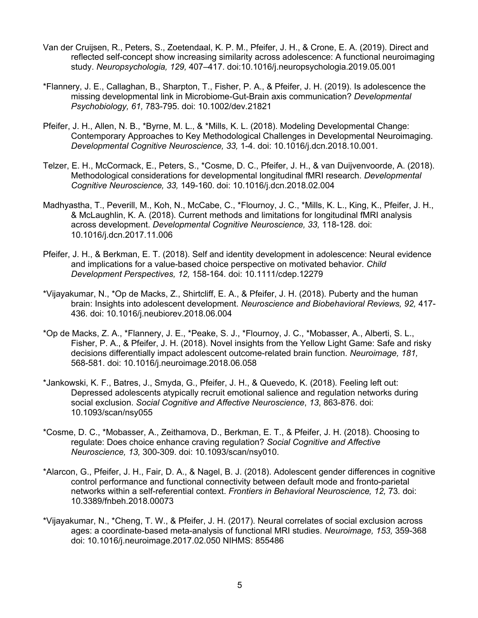- Van der Cruijsen, R., Peters, S., Zoetendaal, K. P. M., Pfeifer, J. H., & Crone, E. A. (2019). Direct and reflected self-concept show increasing similarity across adolescence: A functional neuroimaging study. *Neuropsychologia, 129,* 407–417. doi:10.1016/j.neuropsychologia.2019.05.001
- \*Flannery, J. E., Callaghan, B., Sharpton, T., Fisher, P. A., & Pfeifer, J. H. (2019). Is adolescence the missing developmental link in Microbiome-Gut-Brain axis communication? *Developmental Psychobiology, 61,* 783-795. doi: 10.1002/dev.21821
- Pfeifer, J. H., Allen, N. B., \*Byrne, M. L., & \*Mills, K. L. (2018). Modeling Developmental Change: Contemporary Approaches to Key Methodological Challenges in Developmental Neuroimaging. *Developmental Cognitive Neuroscience, 33,* 1-4. doi: 10.1016/j.dcn.2018.10.001.
- Telzer, E. H., McCormack, E., Peters, S., \*Cosme, D. C., Pfeifer, J. H., & van Duijvenvoorde, A. (2018). Methodological considerations for developmental longitudinal fMRI research. *Developmental Cognitive Neuroscience, 33,* 149-160*.* doi: 10.1016/j.dcn.2018.02.004
- Madhyastha, T., Peverill, M., Koh, N., McCabe, C., \*Flournoy, J. C., \*Mills, K. L., King, K., Pfeifer, J. H., & McLaughlin, K. A. (2018). Current methods and limitations for longitudinal fMRI analysis across development. *Developmental Cognitive Neuroscience, 33,* 118-128*.* doi: 10.1016/j.dcn.2017.11.006
- Pfeifer, J. H., & Berkman, E. T. (2018). Self and identity development in adolescence: Neural evidence and implications for a value-based choice perspective on motivated behavior. *Child Development Perspectives, 12,* 158-164*.* doi: 10.1111/cdep.12279
- \*Vijayakumar, N., \*Op de Macks, Z., Shirtcliff, E. A., & Pfeifer, J. H. (2018). Puberty and the human brain: Insights into adolescent development. *Neuroscience and Biobehavioral Reviews, 92,* 417- 436. doi: 10.1016/j.neubiorev.2018.06.004
- \*Op de Macks, Z. A., \*Flannery, J. E., \*Peake, S. J., \*Flournoy, J. C., \*Mobasser, A., Alberti, S. L., Fisher, P. A., & Pfeifer, J. H. (2018). Novel insights from the Yellow Light Game: Safe and risky decisions differentially impact adolescent outcome-related brain function. *Neuroimage, 181,* 568-581. doi: 10.1016/j.neuroimage.2018.06.058
- \*Jankowski, K. F., Batres, J., Smyda, G., Pfeifer, J. H., & Quevedo, K. (2018). Feeling left out: Depressed adolescents atypically recruit emotional salience and regulation networks during social exclusion. *Social Cognitive and Affective Neuroscience*, *13*, 863-876. doi: 10.1093/scan/nsy055
- \*Cosme, D. C., \*Mobasser, A., Zeithamova, D., Berkman, E. T., & Pfeifer, J. H. (2018). Choosing to regulate: Does choice enhance craving regulation? *Social Cognitive and Affective Neuroscience, 13,* 300-309. doi: 10.1093/scan/nsy010.
- \*Alarcon, G., Pfeifer, J. H., Fair, D. A., & Nagel, B. J. (2018). Adolescent gender differences in cognitive control performance and functional connectivity between default mode and fronto-parietal networks within a self-referential context. *Frontiers in Behavioral Neuroscience, 12,* 73*.* doi: 10.3389/fnbeh.2018.00073
- \*Vijayakumar, N., \*Cheng, T. W., & Pfeifer, J. H. (2017). Neural correlates of social exclusion across ages: a coordinate-based meta-analysis of functional MRI studies. *Neuroimage, 153,* 359-368 doi: 10.1016/j.neuroimage.2017.02.050 NIHMS: 855486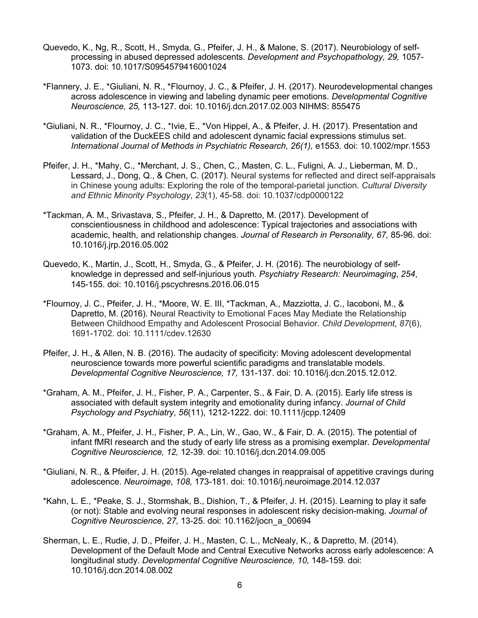- Quevedo, K., Ng, R., Scott, H., Smyda, G., Pfeifer, J. H., & Malone, S. (2017). Neurobiology of selfprocessing in abused depressed adolescents. *Development and Psychopathology, 29,* 1057- 1073. doi: 10.1017/S0954579416001024
- \*Flannery, J. E., \*Giuliani, N. R., \*Flournoy, J. C., & Pfeifer, J. H. (2017). Neurodevelopmental changes across adolescence in viewing and labeling dynamic peer emotions. *Developmental Cognitive Neuroscience, 25,* 113-127*.* doi: 10.1016/j.dcn.2017.02.003 NIHMS: 855475
- \*Giuliani, N. R., \*Flournoy, J. C., \*Ivie, E., \*Von Hippel, A., & Pfeifer, J. H. (2017). Presentation and validation of the DuckEES child and adolescent dynamic facial expressions stimulus set. *International Journal of Methods in Psychiatric Research, 26(1),* e1553*.* doi: 10.1002/mpr.1553
- Pfeifer, J. H., \*Mahy, C., \*Merchant, J. S., Chen, C., Masten, C. L., Fuligni, A. J., Lieberman, M. D., Lessard, J., Dong, Q., & Chen, C. (2017). Neural systems for reflected and direct self-appraisals in Chinese young adults: Exploring the role of the temporal-parietal junction. *Cultural Diversity and Ethnic Minority Psychology*, *23*(1), 45-58. doi: 10.1037/cdp0000122
- \*Tackman, A. M., Srivastava, S., Pfeifer, J. H., & Dapretto, M. (2017). Development of conscientiousness in childhood and adolescence: Typical trajectories and associations with academic, health, and relationship changes. *Journal of Research in Personality, 67,* 85-96. doi: 10.1016/j.jrp.2016.05.002
- Quevedo, K., Martin, J., Scott, H., Smyda, G., & Pfeifer, J. H. (2016). The neurobiology of selfknowledge in depressed and self-injurious youth. *Psychiatry Research: Neuroimaging*, *254*, 145-155. doi: 10.1016/j.pscychresns.2016.06.015
- \*Flournoy, J. C., Pfeifer, J. H., \*Moore, W. E. III, \*Tackman, A., Mazziotta, J. C., Iacoboni, M., & Dapretto, M. (2016). Neural Reactivity to Emotional Faces May Mediate the Relationship Between Childhood Empathy and Adolescent Prosocial Behavior. *Child Development*, *87*(6), 1691-1702. doi: 10.1111/cdev.12630
- Pfeifer, J. H., & Allen, N. B. (2016). The audacity of specificity: Moving adolescent developmental neuroscience towards more powerful scientific paradigms and translatable models. *Developmental Cognitive Neuroscience, 17,* 131-137. doi: 10.1016/j.dcn.2015.12.012.
- \*Graham, A. M., Pfeifer, J. H., Fisher, P. A., Carpenter, S., & Fair, D. A. (2015). Early life stress is associated with default system integrity and emotionality during infancy. *Journal of Child Psychology and Psychiatry*, *56*(11), 1212-1222. doi: 10.1111/jcpp.12409
- \*Graham, A. M., Pfeifer, J. H., Fisher, P. A., Lin, W., Gao, W., & Fair, D. A. (2015). The potential of infant fMRI research and the study of early life stress as a promising exemplar. *Developmental Cognitive Neuroscience, 12,* 12-39*.* doi: 10.1016/j.dcn.2014.09.005
- \*Giuliani, N. R., & Pfeifer, J. H. (2015). Age-related changes in reappraisal of appetitive cravings during adolescence. *Neuroimage, 108,* 173-181. doi: 10.1016/j.neuroimage.2014.12.037
- \*Kahn, L. E., \*Peake, S. J., Stormshak, B., Dishion, T., & Pfeifer, J. H. (2015). Learning to play it safe (or not): Stable and evolving neural responses in adolescent risky decision-making. *Journal of Cognitive Neuroscience, 27,* 13-25. doi: 10.1162/jocn\_a\_00694
- Sherman, L. E., Rudie, J. D., Pfeifer, J. H., Masten, C. L., McNealy, K., & Dapretto, M. (2014). Development of the Default Mode and Central Executive Networks across early adolescence: A longitudinal study. *Developmental Cognitive Neuroscience, 10,* 148-159*.* doi: 10.1016/j.dcn.2014.08.002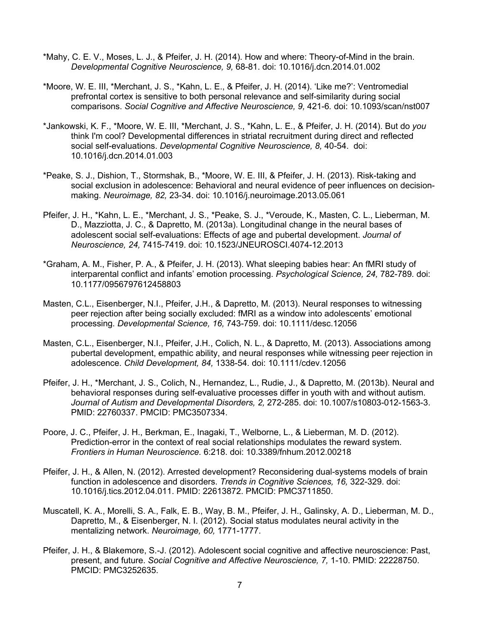- \*Mahy, C. E. V., Moses, L. J., & Pfeifer, J. H. (2014). How and where: Theory-of-Mind in the brain. *Developmental Cognitive Neuroscience, 9,* 68-81. doi: 10.1016/j.dcn.2014.01.002
- \*Moore, W. E. III, \*Merchant, J. S., \*Kahn, L. E., & Pfeifer, J. H. (2014). 'Like me?': Ventromedial prefrontal cortex is sensitive to both personal relevance and self-similarity during social comparisons. *Social Cognitive and Affective Neuroscience, 9,* 421-6*.* doi: 10.1093/scan/nst007
- \*Jankowski, K. F., \*Moore, W. E. III, \*Merchant, J. S., \*Kahn, L. E., & Pfeifer, J. H. (2014). But do *you* think I'm cool? Developmental differences in striatal recruitment during direct and reflected social self-evaluations. *Developmental Cognitive Neuroscience, 8,* 40-54. doi: 10.1016/j.dcn.2014.01.003
- \*Peake, S. J., Dishion, T., Stormshak, B., \*Moore, W. E. III, & Pfeifer, J. H. (2013). Risk-taking and social exclusion in adolescence: Behavioral and neural evidence of peer influences on decisionmaking. *Neuroimage, 82,* 23-34. doi: 10.1016/j.neuroimage.2013.05.061
- Pfeifer, J. H., \*Kahn, L. E., \*Merchant, J. S., \*Peake, S. J., \*Veroude, K., Masten, C. L., Lieberman, M. D., Mazziotta, J. C., & Dapretto, M. (2013a). Longitudinal change in the neural bases of adolescent social self-evaluations: Effects of age and pubertal development. *Journal of Neuroscience, 24,* 7415-7419. doi: 10.1523/JNEUROSCI.4074-12.2013
- \*Graham, A. M., Fisher, P. A., & Pfeifer, J. H. (2013). What sleeping babies hear: An fMRI study of interparental conflict and infants' emotion processing. *Psychological Science, 24,* 782-789*.* doi: 10.1177/0956797612458803
- Masten, C.L., Eisenberger, N.I., Pfeifer, J.H., & Dapretto, M. (2013). Neural responses to witnessing peer rejection after being socially excluded: fMRI as a window into adolescents' emotional processing. *Developmental Science, 16,* 743-759. doi: 10.1111/desc.12056
- Masten, C.L., Eisenberger, N.I., Pfeifer, J.H., Colich, N. L., & Dapretto, M. (2013). Associations among pubertal development, empathic ability, and neural responses while witnessing peer rejection in adolescence. *Child Development, 84,* 1338-54*.* doi: 10.1111/cdev.12056
- Pfeifer, J. H., \*Merchant, J. S., Colich, N., Hernandez, L., Rudie, J., & Dapretto, M. (2013b). Neural and behavioral responses during self-evaluative processes differ in youth with and without autism. *Journal of Autism and Developmental Disorders, 2,* 272-285. doi: 10.1007/s10803-012-1563-3. PMID: 22760337. PMCID: PMC3507334.
- Poore, J. C., Pfeifer, J. H., Berkman, E., Inagaki, T., Welborne, L., & Lieberman, M. D. (2012). Prediction-error in the context of real social relationships modulates the reward system. *Frontiers in Human Neuroscience.* 6:218. doi: 10.3389/fnhum.2012.00218
- Pfeifer, J. H., & Allen, N. (2012). Arrested development? Reconsidering dual-systems models of brain function in adolescence and disorders. *Trends in Cognitive Sciences, 16,* 322-329. doi: 10.1016/j.tics.2012.04.011. PMID: 22613872. PMCID: PMC3711850.
- Muscatell, K. A., Morelli, S. A., Falk, E. B., Way, B. M., Pfeifer, J. H., Galinsky, A. D., Lieberman, M. D., Dapretto, M., & Eisenberger, N. I. (2012). Social status modulates neural activity in the mentalizing network. *Neuroimage, 60,* 1771-1777.
- Pfeifer, J. H., & Blakemore, S.-J. (2012). Adolescent social cognitive and affective neuroscience: Past, present, and future. *Social Cognitive and Affective Neuroscience, 7,* 1-10. PMID: 22228750. PMCID: PMC3252635.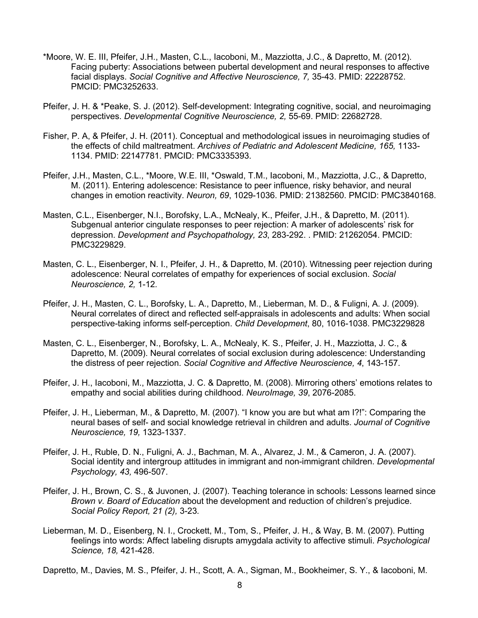- \*Moore, W. E. III, Pfeifer, J.H., Masten, C.L., Iacoboni, M., Mazziotta, J.C., & Dapretto, M. (2012). Facing puberty: Associations between pubertal development and neural responses to affective facial displays. *Social Cognitive and Affective Neuroscience, 7,* 35-43. PMID: 22228752. PMCID: PMC3252633.
- Pfeifer, J. H. & \*Peake, S. J. (2012). Self-development: Integrating cognitive, social, and neuroimaging perspectives. *Developmental Cognitive Neuroscience, 2,* 55-69. PMID: 22682728.
- Fisher, P. A, & Pfeifer, J. H. (2011). Conceptual and methodological issues in neuroimaging studies of the effects of child maltreatment. *Archives of Pediatric and Adolescent Medicine, 165,* 1133- 1134. PMID: 22147781. PMCID: PMC3335393.
- Pfeifer, J.H., Masten, C.L., \*Moore, W.E. III, \*Oswald, T.M., Iacoboni, M., Mazziotta, J.C., & Dapretto, M. (2011). Entering adolescence: Resistance to peer influence, risky behavior, and neural changes in emotion reactivity. *Neuron, 69*, 1029-1036. PMID: 21382560. PMCID: PMC3840168.
- Masten, C.L., Eisenberger, N.I., Borofsky, L.A., McNealy, K., Pfeifer, J.H., & Dapretto, M. (2011). Subgenual anterior cingulate responses to peer rejection: A marker of adolescents' risk for depression. *Development and Psychopathology, 23*, 283-292. . PMID: 21262054. PMCID: PMC3229829.
- Masten, C. L., Eisenberger, N. I., Pfeifer, J. H., & Dapretto, M. (2010). Witnessing peer rejection during adolescence: Neural correlates of empathy for experiences of social exclusion. *Social Neuroscience, 2,* 1-12*.*
- Pfeifer, J. H., Masten, C. L., Borofsky, L. A., Dapretto, M., Lieberman, M. D., & Fuligni, A. J. (2009). Neural correlates of direct and reflected self-appraisals in adolescents and adults: When social perspective-taking informs self-perception. *Child Development*, 80, 1016-1038. PMC3229828
- Masten, C. L., Eisenberger, N., Borofsky, L. A., McNealy, K. S., Pfeifer, J. H., Mazziotta, J. C., & Dapretto, M. (2009). Neural correlates of social exclusion during adolescence: Understanding the distress of peer rejection. *Social Cognitive and Affective Neuroscience, 4*, 143-157.
- Pfeifer, J. H., Iacoboni, M., Mazziotta, J. C. & Dapretto, M. (2008). Mirroring others' emotions relates to empathy and social abilities during childhood. *NeuroImage, 39*, 2076-2085.
- Pfeifer, J. H., Lieberman, M., & Dapretto, M. (2007). "I know you are but what am I?!": Comparing the neural bases of self- and social knowledge retrieval in children and adults. *Journal of Cognitive Neuroscience, 19,* 1323-1337.
- Pfeifer, J. H., Ruble, D. N., Fuligni, A. J., Bachman, M. A., Alvarez, J. M., & Cameron, J. A. (2007). Social identity and intergroup attitudes in immigrant and non-immigrant children. *Developmental Psychology, 43,* 496-507.
- Pfeifer, J. H., Brown, C. S., & Juvonen, J. (2007). Teaching tolerance in schools: Lessons learned since *Brown v. Board of Education* about the development and reduction of children's prejudice. *Social Policy Report, 21 (2),* 3-23*.*
- Lieberman, M. D., Eisenberg, N. I., Crockett, M., Tom, S., Pfeifer, J. H., & Way, B. M. (2007). Putting feelings into words: Affect labeling disrupts amygdala activity to affective stimuli. *Psychological Science, 18,* 421-428.
- Dapretto, M., Davies, M. S., Pfeifer, J. H., Scott, A. A., Sigman, M., Bookheimer, S. Y., & Iacoboni, M.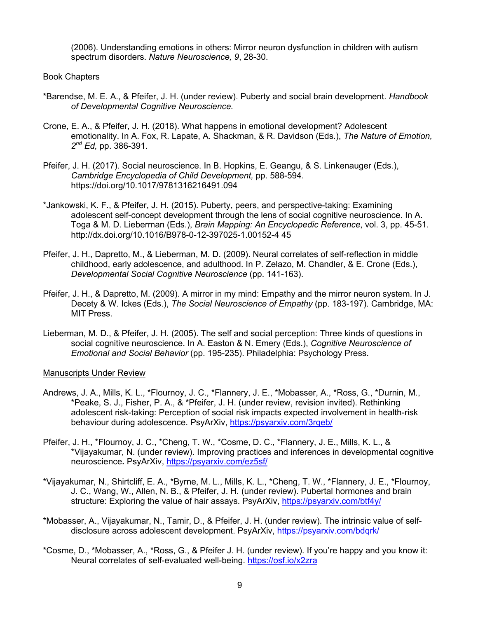(2006). Understanding emotions in others: Mirror neuron dysfunction in children with autism spectrum disorders. *Nature Neuroscience, 9*, 28-30.

#### Book Chapters

- \*Barendse, M. E. A., & Pfeifer, J. H. (under review). Puberty and social brain development. *Handbook of Developmental Cognitive Neuroscience.*
- Crone, E. A., & Pfeifer, J. H. (2018). What happens in emotional development? Adolescent emotionality. In A. Fox, R. Lapate, A. Shackman, & R. Davidson (Eds.), *The Nature of Emotion, 2nd Ed,* pp. 386-391.
- Pfeifer, J. H. (2017). Social neuroscience. In B. Hopkins, E. Geangu, & S. Linkenauger (Eds.), *Cambridge Encyclopedia of Child Development,* pp. 588-594. https://doi.org/10.1017/9781316216491.094
- \*Jankowski, K. F., & Pfeifer, J. H. (2015). Puberty, peers, and perspective-taking: Examining adolescent self-concept development through the lens of social cognitive neuroscience. In A. Toga & M. D. Lieberman (Eds.), *Brain Mapping: An Encyclopedic Reference*, vol. 3, pp. 45-51. http://dx.doi.org/10.1016/B978-0-12-397025-1.00152-4 45
- Pfeifer, J. H., Dapretto, M., & Lieberman, M. D. (2009). Neural correlates of self-reflection in middle childhood, early adolescence, and adulthood. In P. Zelazo, M. Chandler, & E. Crone (Eds.), *Developmental Social Cognitive Neuroscience* (pp. 141-163).
- Pfeifer, J. H., & Dapretto, M. (2009). A mirror in my mind: Empathy and the mirror neuron system. In J. Decety & W. Ickes (Eds.), *The Social Neuroscience of Empathy* (pp. 183-197). Cambridge, MA: MIT Press.
- Lieberman, M. D., & Pfeifer, J. H. (2005). The self and social perception: Three kinds of questions in social cognitive neuroscience. In A. Easton & N. Emery (Eds.), *Cognitive Neuroscience of Emotional and Social Behavior* (pp. 195-235). Philadelphia: Psychology Press.

#### Manuscripts Under Review

- Andrews, J. A., Mills, K. L., \*Flournoy, J. C., \*Flannery, J. E., \*Mobasser, A., \*Ross, G., \*Durnin, M., \*Peake, S. J., Fisher, P. A., & \*Pfeifer, J. H. (under review, revision invited). Rethinking adolescent risk-taking: Perception of social risk impacts expected involvement in health-risk behaviour during adolescence. PsyArXiv, https://psyarxiv.com/3rqeb/
- Pfeifer, J. H., \*Flournoy, J. C., \*Cheng, T. W., \*Cosme, D. C., \*Flannery, J. E., Mills, K. L., & \*Vijayakumar, N. (under review). Improving practices and inferences in developmental cognitive neuroscience**.** PsyArXiv, https://psyarxiv.com/ez5sf/
- \*Vijayakumar, N., Shirtcliff, E. A., \*Byrne, M. L., Mills, K. L., \*Cheng, T. W., \*Flannery, J. E., \*Flournoy, J. C., Wang, W., Allen, N. B., & Pfeifer, J. H. (under review). Pubertal hormones and brain structure: Exploring the value of hair assays. PsyArXiv, https://psyarxiv.com/btf4y/
- \*Mobasser, A., Vijayakumar, N., Tamir, D., & Pfeifer, J. H. (under review). The intrinsic value of selfdisclosure across adolescent development. PsyArXiv, https://psyarxiv.com/bdqrk/
- \*Cosme, D., \*Mobasser, A., \*Ross, G., & Pfeifer J. H. (under review). If you're happy and you know it: Neural correlates of self-evaluated well-being. https://osf.io/x2zra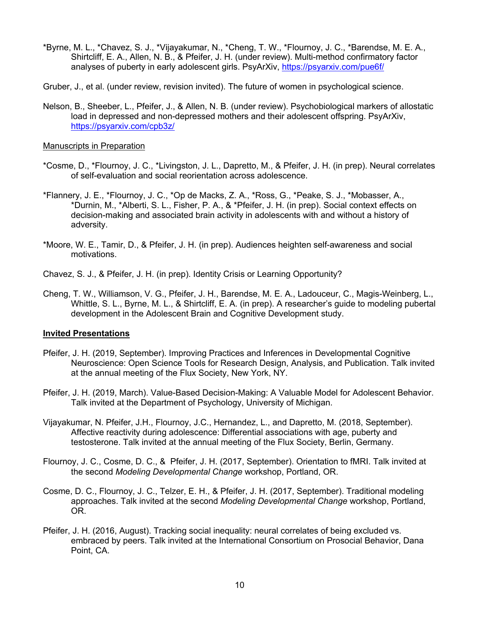- \*Byrne, M. L., \*Chavez, S. J., \*Vijayakumar, N., \*Cheng, T. W., \*Flournoy, J. C., \*Barendse, M. E. A., Shirtcliff, E. A., Allen, N. B., & Pfeifer, J. H. (under review). Multi-method confirmatory factor analyses of puberty in early adolescent girls. PsyArXiv, https://psyarxiv.com/pue6f/
- Gruber, J., et al. (under review, revision invited). The future of women in psychological science.
- Nelson, B., Sheeber, L., Pfeifer, J., & Allen, N. B. (under review). Psychobiological markers of allostatic load in depressed and non-depressed mothers and their adolescent offspring. PsyArXiv, https://psyarxiv.com/cpb3z/

#### Manuscripts in Preparation

- \*Cosme, D., \*Flournoy, J. C., \*Livingston, J. L., Dapretto, M., & Pfeifer, J. H. (in prep). Neural correlates of self-evaluation and social reorientation across adolescence.
- \*Flannery, J. E., \*Flournoy, J. C., \*Op de Macks, Z. A., \*Ross, G., \*Peake, S. J., \*Mobasser, A., \*Durnin, M., \*Alberti, S. L., Fisher, P. A., & \*Pfeifer, J. H. (in prep). Social context effects on decision-making and associated brain activity in adolescents with and without a history of adversity.
- \*Moore, W. E., Tamir, D., & Pfeifer, J. H. (in prep). Audiences heighten self-awareness and social motivations.
- Chavez, S. J., & Pfeifer, J. H. (in prep). Identity Crisis or Learning Opportunity?
- Cheng, T. W., Williamson, V. G., Pfeifer, J. H., Barendse, M. E. A., Ladouceur, C., Magis-Weinberg, L., Whittle, S. L., Byrne, M. L., & Shirtcliff, E. A. (in prep). A researcher's guide to modeling pubertal development in the Adolescent Brain and Cognitive Development study.

## **Invited Presentations**

- Pfeifer, J. H. (2019, September). Improving Practices and Inferences in Developmental Cognitive Neuroscience: Open Science Tools for Research Design, Analysis, and Publication. Talk invited at the annual meeting of the Flux Society, New York, NY.
- Pfeifer, J. H. (2019, March). Value-Based Decision-Making: A Valuable Model for Adolescent Behavior. Talk invited at the Department of Psychology, University of Michigan.
- Vijayakumar, N. Pfeifer, J.H., Flournoy, J.C., Hernandez, L., and Dapretto, M. (2018, September). Affective reactivity during adolescence: Differential associations with age, puberty and testosterone. Talk invited at the annual meeting of the Flux Society, Berlin, Germany.
- Flournoy, J. C., Cosme, D. C., & Pfeifer, J. H. (2017, September). Orientation to fMRI. Talk invited at the second *Modeling Developmental Change* workshop, Portland, OR.
- Cosme, D. C., Flournoy, J. C., Telzer, E. H., & Pfeifer, J. H. (2017, September). Traditional modeling approaches. Talk invited at the second *Modeling Developmental Change* workshop, Portland, OR.
- Pfeifer, J. H. (2016, August). Tracking social inequality: neural correlates of being excluded vs. embraced by peers. Talk invited at the International Consortium on Prosocial Behavior, Dana Point, CA.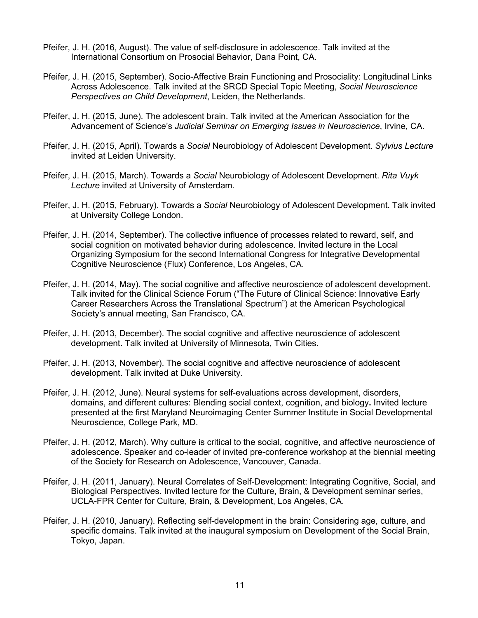- Pfeifer, J. H. (2016, August). The value of self-disclosure in adolescence. Talk invited at the International Consortium on Prosocial Behavior, Dana Point, CA.
- Pfeifer, J. H. (2015, September). Socio-Affective Brain Functioning and Prosociality: Longitudinal Links Across Adolescence. Talk invited at the SRCD Special Topic Meeting, *Social Neuroscience Perspectives on Child Development*, Leiden, the Netherlands.
- Pfeifer, J. H. (2015, June). The adolescent brain. Talk invited at the American Association for the Advancement of Science's *Judicial Seminar on Emerging Issues in Neuroscience*, Irvine, CA.
- Pfeifer, J. H. (2015, April). Towards a *Social* Neurobiology of Adolescent Development. *Sylvius Lecture* invited at Leiden University.
- Pfeifer, J. H. (2015, March). Towards a *Social* Neurobiology of Adolescent Development. *Rita Vuyk Lecture* invited at University of Amsterdam.
- Pfeifer, J. H. (2015, February). Towards a *Social* Neurobiology of Adolescent Development. Talk invited at University College London.
- Pfeifer, J. H. (2014, September). The collective influence of processes related to reward, self, and social cognition on motivated behavior during adolescence. Invited lecture in the Local Organizing Symposium for the second International Congress for Integrative Developmental Cognitive Neuroscience (Flux) Conference, Los Angeles, CA.
- Pfeifer, J. H. (2014, May). The social cognitive and affective neuroscience of adolescent development. Talk invited for the Clinical Science Forum ("The Future of Clinical Science: Innovative Early Career Researchers Across the Translational Spectrum") at the American Psychological Society's annual meeting, San Francisco, CA.
- Pfeifer, J. H. (2013, December). The social cognitive and affective neuroscience of adolescent development. Talk invited at University of Minnesota, Twin Cities.
- Pfeifer, J. H. (2013, November). The social cognitive and affective neuroscience of adolescent development. Talk invited at Duke University.
- Pfeifer, J. H. (2012, June). Neural systems for self-evaluations across development, disorders, domains, and different cultures: Blending social context, cognition, and biology**.** Invited lecture presented at the first Maryland Neuroimaging Center Summer Institute in Social Developmental Neuroscience, College Park, MD.
- Pfeifer, J. H. (2012, March). Why culture is critical to the social, cognitive, and affective neuroscience of adolescence. Speaker and co-leader of invited pre-conference workshop at the biennial meeting of the Society for Research on Adolescence, Vancouver, Canada.
- Pfeifer, J. H. (2011, January). Neural Correlates of Self-Development: Integrating Cognitive, Social, and Biological Perspectives. Invited lecture for the Culture, Brain, & Development seminar series, UCLA-FPR Center for Culture, Brain, & Development, Los Angeles, CA.
- Pfeifer, J. H. (2010, January). Reflecting self-development in the brain: Considering age, culture, and specific domains. Talk invited at the inaugural symposium on Development of the Social Brain, Tokyo, Japan.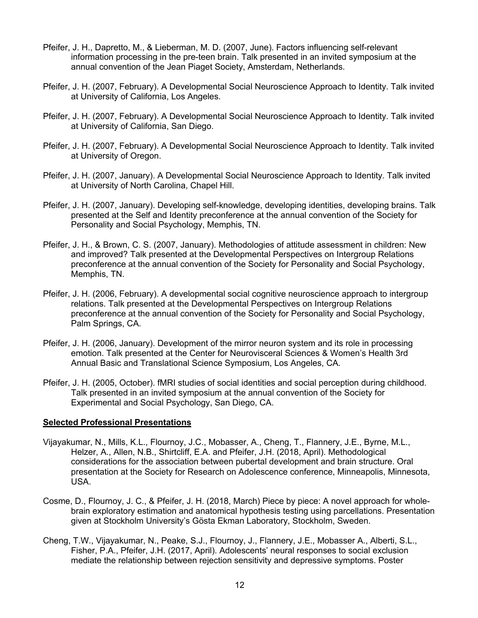- Pfeifer, J. H., Dapretto, M., & Lieberman, M. D. (2007, June). Factors influencing self-relevant information processing in the pre-teen brain. Talk presented in an invited symposium at the annual convention of the Jean Piaget Society, Amsterdam, Netherlands.
- Pfeifer, J. H. (2007, February). A Developmental Social Neuroscience Approach to Identity. Talk invited at University of California, Los Angeles.
- Pfeifer, J. H. (2007, February). A Developmental Social Neuroscience Approach to Identity. Talk invited at University of California, San Diego.
- Pfeifer, J. H. (2007, February). A Developmental Social Neuroscience Approach to Identity. Talk invited at University of Oregon.
- Pfeifer, J. H. (2007, January). A Developmental Social Neuroscience Approach to Identity. Talk invited at University of North Carolina, Chapel Hill.
- Pfeifer, J. H. (2007, January). Developing self-knowledge, developing identities, developing brains. Talk presented at the Self and Identity preconference at the annual convention of the Society for Personality and Social Psychology, Memphis, TN.
- Pfeifer, J. H., & Brown, C. S. (2007, January). Methodologies of attitude assessment in children: New and improved? Talk presented at the Developmental Perspectives on Intergroup Relations preconference at the annual convention of the Society for Personality and Social Psychology, Memphis, TN.
- Pfeifer, J. H. (2006, February). A developmental social cognitive neuroscience approach to intergroup relations. Talk presented at the Developmental Perspectives on Intergroup Relations preconference at the annual convention of the Society for Personality and Social Psychology, Palm Springs, CA.
- Pfeifer, J. H. (2006, January). Development of the mirror neuron system and its role in processing emotion. Talk presented at the Center for Neurovisceral Sciences & Women's Health 3rd Annual Basic and Translational Science Symposium, Los Angeles, CA.
- Pfeifer, J. H. (2005, October). fMRI studies of social identities and social perception during childhood. Talk presented in an invited symposium at the annual convention of the Society for Experimental and Social Psychology, San Diego, CA.

## **Selected Professional Presentations**

- Vijayakumar, N., Mills, K.L., Flournoy, J.C., Mobasser, A., Cheng, T., Flannery, J.E., Byrne, M.L., Helzer, A., Allen, N.B., Shirtcliff, E.A. and Pfeifer, J.H. (2018, April). Methodological considerations for the association between pubertal development and brain structure. Oral presentation at the Society for Research on Adolescence conference, Minneapolis, Minnesota, USA.
- Cosme, D., Flournoy, J. C., & Pfeifer, J. H. (2018, March) Piece by piece: A novel approach for wholebrain exploratory estimation and anatomical hypothesis testing using parcellations. Presentation given at Stockholm University's Gösta Ekman Laboratory, Stockholm, Sweden.
- Cheng, T.W., Vijayakumar, N., Peake, S.J., Flournoy, J., Flannery, J.E., Mobasser A., Alberti, S.L., Fisher, P.A., Pfeifer, J.H. (2017, April). Adolescents' neural responses to social exclusion mediate the relationship between rejection sensitivity and depressive symptoms. Poster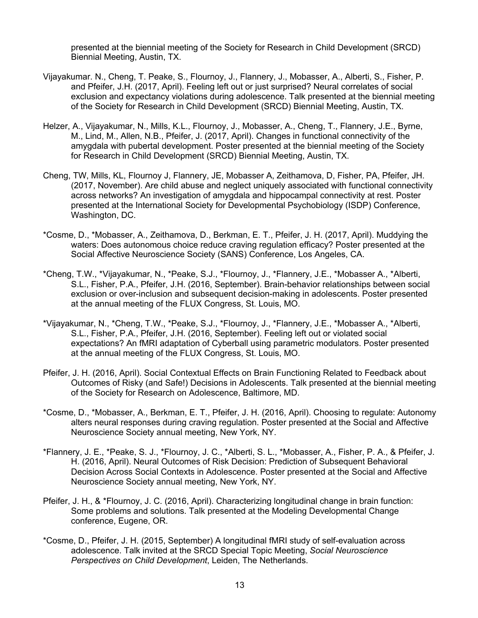presented at the biennial meeting of the Society for Research in Child Development (SRCD) Biennial Meeting, Austin, TX.

- Vijayakumar. N., Cheng, T. Peake, S., Flournoy, J., Flannery, J., Mobasser, A., Alberti, S., Fisher, P. and Pfeifer, J.H. (2017, April). Feeling left out or just surprised? Neural correlates of social exclusion and expectancy violations during adolescence. Talk presented at the biennial meeting of the Society for Research in Child Development (SRCD) Biennial Meeting, Austin, TX.
- Helzer, A., Vijayakumar, N., Mills, K.L., Flournoy, J., Mobasser, A., Cheng, T., Flannery, J.E., Byrne, M., Lind, M., Allen, N.B., Pfeifer, J. (2017, April). Changes in functional connectivity of the amygdala with pubertal development. Poster presented at the biennial meeting of the Society for Research in Child Development (SRCD) Biennial Meeting, Austin, TX.
- Cheng, TW, Mills, KL, Flournoy J, Flannery, JE, Mobasser A, Zeithamova, D, Fisher, PA, Pfeifer, JH. (2017, November). Are child abuse and neglect uniquely associated with functional connectivity across networks? An investigation of amygdala and hippocampal connectivity at rest. Poster presented at the International Society for Developmental Psychobiology (ISDP) Conference, Washington, DC.
- \*Cosme, D., \*Mobasser, A., Zeithamova, D., Berkman, E. T., Pfeifer, J. H. (2017, April). Muddying the waters: Does autonomous choice reduce craving regulation efficacy? Poster presented at the Social Affective Neuroscience Society (SANS) Conference, Los Angeles, CA.
- \*Cheng, T.W., \*Vijayakumar, N., \*Peake, S.J., \*Flournoy, J., \*Flannery, J.E., \*Mobasser A., \*Alberti, S.L., Fisher, P.A., Pfeifer, J.H. (2016, September). Brain-behavior relationships between social exclusion or over-inclusion and subsequent decision-making in adolescents. Poster presented at the annual meeting of the FLUX Congress, St. Louis, MO.
- \*Vijayakumar, N., \*Cheng, T.W., \*Peake, S.J., \*Flournoy, J., \*Flannery, J.E., \*Mobasser A., \*Alberti, S.L., Fisher, P.A., Pfeifer, J.H. (2016, September). Feeling left out or violated social expectations? An fMRI adaptation of Cyberball using parametric modulators. Poster presented at the annual meeting of the FLUX Congress, St. Louis, MO.
- Pfeifer, J. H. (2016, April). Social Contextual Effects on Brain Functioning Related to Feedback about Outcomes of Risky (and Safe!) Decisions in Adolescents. Talk presented at the biennial meeting of the Society for Research on Adolescence, Baltimore, MD.
- \*Cosme, D., \*Mobasser, A., Berkman, E. T., Pfeifer, J. H. (2016, April). Choosing to regulate: Autonomy alters neural responses during craving regulation. Poster presented at the Social and Affective Neuroscience Society annual meeting, New York, NY.
- \*Flannery, J. E., \*Peake, S. J., \*Flournoy, J. C., \*Alberti, S. L., \*Mobasser, A., Fisher, P. A., & Pfeifer, J. H. (2016, April). Neural Outcomes of Risk Decision: Prediction of Subsequent Behavioral Decision Across Social Contexts in Adolescence. Poster presented at the Social and Affective Neuroscience Society annual meeting, New York, NY.
- Pfeifer, J. H., & \*Flournoy, J. C. (2016, April). Characterizing longitudinal change in brain function: Some problems and solutions. Talk presented at the Modeling Developmental Change conference, Eugene, OR.
- \*Cosme, D., Pfeifer, J. H. (2015, September) A longitudinal fMRI study of self-evaluation across adolescence. Talk invited at the SRCD Special Topic Meeting, *Social Neuroscience Perspectives on Child Development*, Leiden, The Netherlands.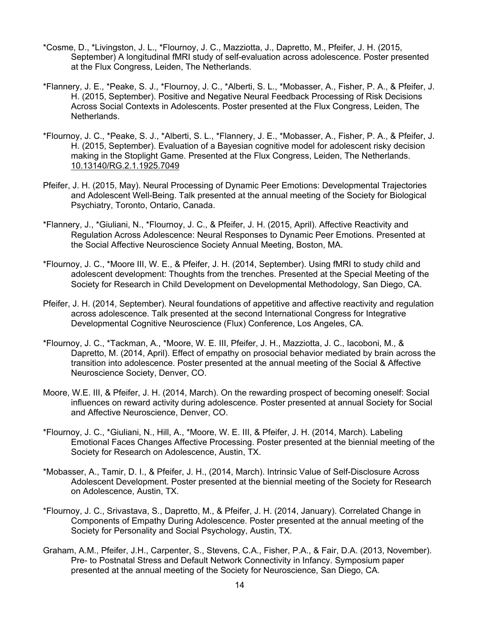- \*Cosme, D., \*Livingston, J. L., \*Flournoy, J. C., Mazziotta, J., Dapretto, M., Pfeifer, J. H. (2015, September) A longitudinal fMRI study of self-evaluation across adolescence. Poster presented at the Flux Congress, Leiden, The Netherlands.
- \*Flannery, J. E., \*Peake, S. J., \*Flournoy, J. C., \*Alberti, S. L., \*Mobasser, A., Fisher, P. A., & Pfeifer, J. H. (2015, September). Positive and Negative Neural Feedback Processing of Risk Decisions Across Social Contexts in Adolescents. Poster presented at the Flux Congress, Leiden, The Netherlands.
- \*Flournoy, J. C., \*Peake, S. J., \*Alberti, S. L., \*Flannery, J. E., \*Mobasser, A., Fisher, P. A., & Pfeifer, J. H. (2015, September). Evaluation of a Bayesian cognitive model for adolescent risky decision making in the Stoplight Game. Presented at the Flux Congress, Leiden, The Netherlands. 10.13140/RG.2.1.1925.7049
- Pfeifer, J. H. (2015, May). Neural Processing of Dynamic Peer Emotions: Developmental Trajectories and Adolescent Well-Being. Talk presented at the annual meeting of the Society for Biological Psychiatry, Toronto, Ontario, Canada.
- \*Flannery, J., \*Giuliani, N., \*Flournoy, J. C., & Pfeifer, J. H. (2015, April). Affective Reactivity and Regulation Across Adolescence: Neural Responses to Dynamic Peer Emotions. Presented at the Social Affective Neuroscience Society Annual Meeting, Boston, MA.
- \*Flournoy, J. C., \*Moore III, W. E., & Pfeifer, J. H. (2014, September). Using fMRI to study child and adolescent development: Thoughts from the trenches. Presented at the Special Meeting of the Society for Research in Child Development on Developmental Methodology, San Diego, CA.
- Pfeifer, J. H. (2014, September). Neural foundations of appetitive and affective reactivity and regulation across adolescence. Talk presented at the second International Congress for Integrative Developmental Cognitive Neuroscience (Flux) Conference, Los Angeles, CA.
- \*Flournoy, J. C., \*Tackman, A., \*Moore, W. E. III, Pfeifer, J. H., Mazziotta, J. C., Iacoboni, M., & Dapretto, M. (2014, April). Effect of empathy on prosocial behavior mediated by brain across the transition into adolescence. Poster presented at the annual meeting of the Social & Affective Neuroscience Society, Denver, CO.
- Moore, W.E. III, & Pfeifer, J. H. (2014, March). On the rewarding prospect of becoming oneself: Social influences on reward activity during adolescence. Poster presented at annual Society for Social and Affective Neuroscience, Denver, CO.
- \*Flournoy, J. C., \*Giuliani, N., Hill, A., \*Moore, W. E. III, & Pfeifer, J. H. (2014, March). Labeling Emotional Faces Changes Affective Processing. Poster presented at the biennial meeting of the Society for Research on Adolescence, Austin, TX.
- \*Mobasser, A., Tamir, D. I., & Pfeifer, J. H., (2014, March). Intrinsic Value of Self-Disclosure Across Adolescent Development. Poster presented at the biennial meeting of the Society for Research on Adolescence, Austin, TX.
- \*Flournoy, J. C., Srivastava, S., Dapretto, M., & Pfeifer, J. H. (2014, January). Correlated Change in Components of Empathy During Adolescence. Poster presented at the annual meeting of the Society for Personality and Social Psychology, Austin, TX.
- Graham, A.M., Pfeifer, J.H., Carpenter, S., Stevens, C.A., Fisher, P.A., & Fair, D.A. (2013, November). Pre- to Postnatal Stress and Default Network Connectivity in Infancy. Symposium paper presented at the annual meeting of the Society for Neuroscience, San Diego, CA.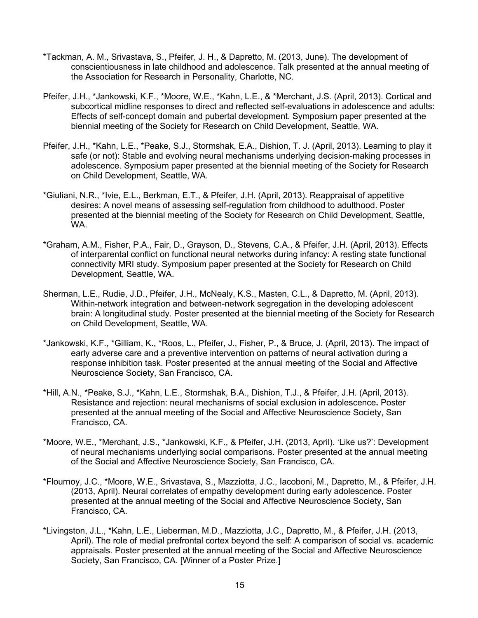- \*Tackman, A. M., Srivastava, S., Pfeifer, J. H., & Dapretto, M. (2013, June). The development of conscientiousness in late childhood and adolescence. Talk presented at the annual meeting of the Association for Research in Personality, Charlotte, NC.
- Pfeifer, J.H., \*Jankowski, K.F., \*Moore, W.E., \*Kahn, L.E., & \*Merchant, J.S. (April, 2013). Cortical and subcortical midline responses to direct and reflected self-evaluations in adolescence and adults: Effects of self-concept domain and pubertal development. Symposium paper presented at the biennial meeting of the Society for Research on Child Development, Seattle, WA.
- Pfeifer, J.H., \*Kahn, L.E., \*Peake, S.J., Stormshak, E.A., Dishion, T. J. (April, 2013). Learning to play it safe (or not): Stable and evolving neural mechanisms underlying decision-making processes in adolescence. Symposium paper presented at the biennial meeting of the Society for Research on Child Development, Seattle, WA.
- \*Giuliani, N.R., \*Ivie, E.L., Berkman, E.T., & Pfeifer, J.H. (April, 2013). Reappraisal of appetitive desires: A novel means of assessing self-regulation from childhood to adulthood. Poster presented at the biennial meeting of the Society for Research on Child Development, Seattle, WA.
- \*Graham, A.M., Fisher, P.A., Fair, D., Grayson, D., Stevens, C.A., & Pfeifer, J.H. (April, 2013). Effects of interparental conflict on functional neural networks during infancy: A resting state functional connectivity MRI study. Symposium paper presented at the Society for Research on Child Development, Seattle, WA.
- Sherman, L.E., Rudie, J.D., Pfeifer, J.H., McNealy, K.S., Masten, C.L., & Dapretto, M. (April, 2013). Within-network integration and between-network segregation in the developing adolescent brain: A longitudinal study. Poster presented at the biennial meeting of the Society for Research on Child Development, Seattle, WA.
- \*Jankowski, K.F., \*Gilliam, K., \*Roos, L., Pfeifer, J., Fisher, P., & Bruce, J. (April, 2013). The impact of early adverse care and a preventive intervention on patterns of neural activation during a response inhibition task. Poster presented at the annual meeting of the Social and Affective Neuroscience Society, San Francisco, CA.
- \*Hill, A.N., \*Peake, S.J., \*Kahn, L.E., Stormshak, B.A., Dishion, T.J., & Pfeifer, J.H. (April, 2013). Resistance and rejection: neural mechanisms of social exclusion in adolescence**.** Poster presented at the annual meeting of the Social and Affective Neuroscience Society, San Francisco, CA.
- \*Moore, W.E., \*Merchant, J.S., \*Jankowski, K.F., & Pfeifer, J.H. (2013, April). 'Like us?': Development of neural mechanisms underlying social comparisons. Poster presented at the annual meeting of the Social and Affective Neuroscience Society, San Francisco, CA.
- \*Flournoy, J.C., \*Moore, W.E., Srivastava, S., Mazziotta, J.C., Iacoboni, M., Dapretto, M., & Pfeifer, J.H. (2013, April). Neural correlates of empathy development during early adolescence. Poster presented at the annual meeting of the Social and Affective Neuroscience Society, San Francisco, CA.
- \*Livingston, J.L., \*Kahn, L.E., Lieberman, M.D., Mazziotta, J.C., Dapretto, M., & Pfeifer, J.H. (2013, April). The role of medial prefrontal cortex beyond the self: A comparison of social vs. academic appraisals. Poster presented at the annual meeting of the Social and Affective Neuroscience Society, San Francisco, CA. [Winner of a Poster Prize.]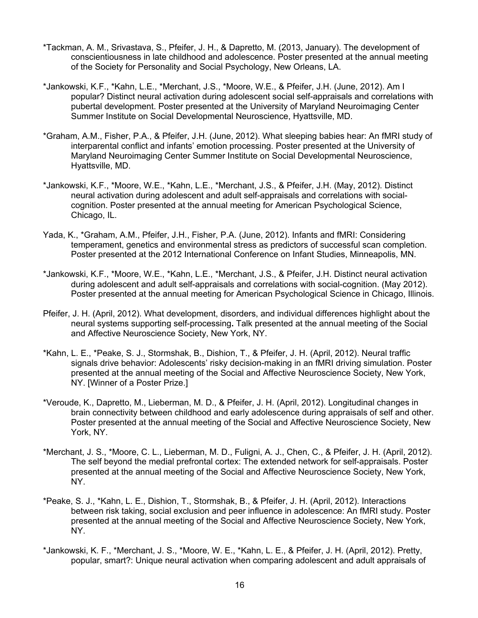- \*Tackman, A. M., Srivastava, S., Pfeifer, J. H., & Dapretto, M. (2013, January). The development of conscientiousness in late childhood and adolescence. Poster presented at the annual meeting of the Society for Personality and Social Psychology, New Orleans, LA.
- \*Jankowski, K.F., \*Kahn, L.E., \*Merchant, J.S., \*Moore, W.E., & Pfeifer, J.H. (June, 2012). Am I popular? Distinct neural activation during adolescent social self-appraisals and correlations with pubertal development. Poster presented at the University of Maryland Neuroimaging Center Summer Institute on Social Developmental Neuroscience, Hyattsville, MD.
- \*Graham, A.M., Fisher, P.A., & Pfeifer, J.H. (June, 2012). What sleeping babies hear: An fMRI study of interparental conflict and infants' emotion processing. Poster presented at the University of Maryland Neuroimaging Center Summer Institute on Social Developmental Neuroscience, Hyattsville, MD.
- \*Jankowski, K.F., \*Moore, W.E., \*Kahn, L.E., \*Merchant, J.S., & Pfeifer, J.H. (May, 2012). Distinct neural activation during adolescent and adult self-appraisals and correlations with socialcognition. Poster presented at the annual meeting for American Psychological Science, Chicago, IL.
- Yada, K., \*Graham, A.M., Pfeifer, J.H., Fisher, P.A. (June, 2012). Infants and fMRI: Considering temperament, genetics and environmental stress as predictors of successful scan completion. Poster presented at the 2012 International Conference on Infant Studies, Minneapolis, MN.
- \*Jankowski, K.F., \*Moore, W.E., \*Kahn, L.E., \*Merchant, J.S., & Pfeifer, J.H. Distinct neural activation during adolescent and adult self-appraisals and correlations with social-cognition. (May 2012). Poster presented at the annual meeting for American Psychological Science in Chicago, Illinois.
- Pfeifer, J. H. (April, 2012). What development, disorders, and individual differences highlight about the neural systems supporting self-processing**.** Talk presented at the annual meeting of the Social and Affective Neuroscience Society, New York, NY.
- \*Kahn, L. E., \*Peake, S. J., Stormshak, B., Dishion, T., & Pfeifer, J. H. (April, 2012). Neural traffic signals drive behavior: Adolescents' risky decision-making in an fMRI driving simulation. Poster presented at the annual meeting of the Social and Affective Neuroscience Society, New York, NY. [Winner of a Poster Prize.]
- \*Veroude, K., Dapretto, M., Lieberman, M. D., & Pfeifer, J. H. (April, 2012). Longitudinal changes in brain connectivity between childhood and early adolescence during appraisals of self and other. Poster presented at the annual meeting of the Social and Affective Neuroscience Society, New York, NY.
- \*Merchant, J. S., \*Moore, C. L., Lieberman, M. D., Fuligni, A. J., Chen, C., & Pfeifer, J. H. (April, 2012). The self beyond the medial prefrontal cortex: The extended network for self-appraisals. Poster presented at the annual meeting of the Social and Affective Neuroscience Society, New York, NY.
- \*Peake, S. J., \*Kahn, L. E., Dishion, T., Stormshak, B., & Pfeifer, J. H. (April, 2012). Interactions between risk taking, social exclusion and peer influence in adolescence: An fMRI study. Poster presented at the annual meeting of the Social and Affective Neuroscience Society, New York, NY.
- \*Jankowski, K. F., \*Merchant, J. S., \*Moore, W. E., \*Kahn, L. E., & Pfeifer, J. H. (April, 2012). Pretty, popular, smart?: Unique neural activation when comparing adolescent and adult appraisals of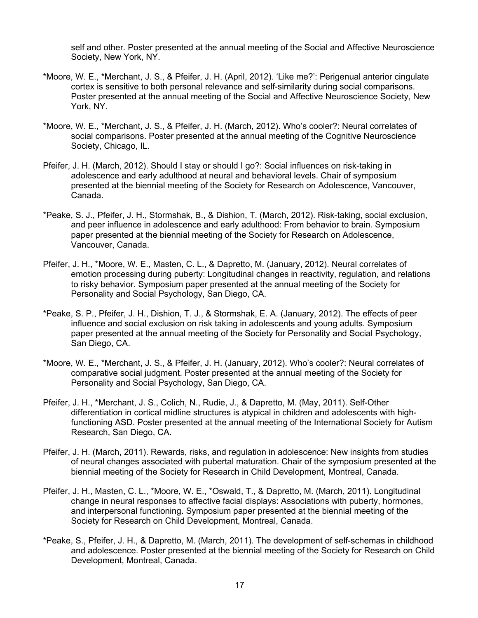self and other. Poster presented at the annual meeting of the Social and Affective Neuroscience Society, New York, NY.

- \*Moore, W. E., \*Merchant, J. S., & Pfeifer, J. H. (April, 2012). 'Like me?': Perigenual anterior cingulate cortex is sensitive to both personal relevance and self-similarity during social comparisons. Poster presented at the annual meeting of the Social and Affective Neuroscience Society, New York, NY.
- \*Moore, W. E., \*Merchant, J. S., & Pfeifer, J. H. (March, 2012). Who's cooler?: Neural correlates of social comparisons. Poster presented at the annual meeting of the Cognitive Neuroscience Society, Chicago, IL.
- Pfeifer, J. H. (March, 2012). Should I stay or should I go?: Social influences on risk-taking in adolescence and early adulthood at neural and behavioral levels. Chair of symposium presented at the biennial meeting of the Society for Research on Adolescence, Vancouver, Canada.
- \*Peake, S. J., Pfeifer, J. H., Stormshak, B., & Dishion, T. (March, 2012). Risk-taking, social exclusion, and peer influence in adolescence and early adulthood: From behavior to brain. Symposium paper presented at the biennial meeting of the Society for Research on Adolescence, Vancouver, Canada.
- Pfeifer, J. H., \*Moore, W. E., Masten, C. L., & Dapretto, M. (January, 2012). Neural correlates of emotion processing during puberty: Longitudinal changes in reactivity, regulation, and relations to risky behavior. Symposium paper presented at the annual meeting of the Society for Personality and Social Psychology, San Diego, CA.
- \*Peake, S. P., Pfeifer, J. H., Dishion, T. J., & Stormshak, E. A. (January, 2012). The effects of peer influence and social exclusion on risk taking in adolescents and young adults*.* Symposium paper presented at the annual meeting of the Society for Personality and Social Psychology, San Diego, CA.
- \*Moore, W. E., \*Merchant, J. S., & Pfeifer, J. H. (January, 2012). Who's cooler?: Neural correlates of comparative social judgment. Poster presented at the annual meeting of the Society for Personality and Social Psychology, San Diego, CA.
- Pfeifer, J. H., \*Merchant, J. S., Colich, N., Rudie, J., & Dapretto, M. (May, 2011). Self-Other differentiation in cortical midline structures is atypical in children and adolescents with highfunctioning ASD. Poster presented at the annual meeting of the International Society for Autism Research, San Diego, CA.
- Pfeifer, J. H. (March, 2011). Rewards, risks, and regulation in adolescence: New insights from studies of neural changes associated with pubertal maturation. Chair of the symposium presented at the biennial meeting of the Society for Research in Child Development, Montreal, Canada.
- Pfeifer, J. H., Masten, C. L., \*Moore, W. E., \*Oswald, T., & Dapretto, M. (March, 2011). Longitudinal change in neural responses to affective facial displays: Associations with puberty, hormones, and interpersonal functioning. Symposium paper presented at the biennial meeting of the Society for Research on Child Development, Montreal, Canada.
- \*Peake, S., Pfeifer, J. H., & Dapretto, M. (March, 2011). The development of self-schemas in childhood and adolescence. Poster presented at the biennial meeting of the Society for Research on Child Development, Montreal, Canada.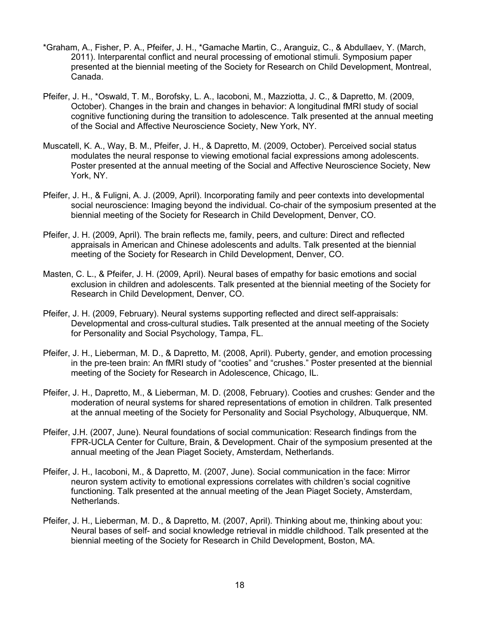- \*Graham, A., Fisher, P. A., Pfeifer, J. H., \*Gamache Martin, C., Aranguiz, C., & Abdullaev, Y. (March, 2011). Interparental conflict and neural processing of emotional stimuli. Symposium paper presented at the biennial meeting of the Society for Research on Child Development, Montreal, Canada.
- Pfeifer, J. H., \*Oswald, T. M., Borofsky, L. A., Iacoboni, M., Mazziotta, J. C., & Dapretto, M. (2009, October). Changes in the brain and changes in behavior: A longitudinal fMRI study of social cognitive functioning during the transition to adolescence. Talk presented at the annual meeting of the Social and Affective Neuroscience Society, New York, NY.
- Muscatell, K. A., Way, B. M., Pfeifer, J. H., & Dapretto, M. (2009, October). Perceived social status modulates the neural response to viewing emotional facial expressions among adolescents. Poster presented at the annual meeting of the Social and Affective Neuroscience Society, New York, NY.
- Pfeifer, J. H., & Fuligni, A. J. (2009, April). Incorporating family and peer contexts into developmental social neuroscience: Imaging beyond the individual. Co-chair of the symposium presented at the biennial meeting of the Society for Research in Child Development, Denver, CO.
- Pfeifer, J. H. (2009, April). The brain reflects me, family, peers, and culture: Direct and reflected appraisals in American and Chinese adolescents and adults. Talk presented at the biennial meeting of the Society for Research in Child Development, Denver, CO.
- Masten, C. L., & Pfeifer, J. H. (2009, April). Neural bases of empathy for basic emotions and social exclusion in children and adolescents. Talk presented at the biennial meeting of the Society for Research in Child Development, Denver, CO.
- Pfeifer, J. H. (2009, February). Neural systems supporting reflected and direct self-appraisals: Developmental and cross-cultural studies**.** Talk presented at the annual meeting of the Society for Personality and Social Psychology, Tampa, FL.
- Pfeifer, J. H., Lieberman, M. D., & Dapretto, M. (2008, April). Puberty, gender, and emotion processing in the pre-teen brain: An fMRI study of "cooties" and "crushes." Poster presented at the biennial meeting of the Society for Research in Adolescence, Chicago, IL.
- Pfeifer, J. H., Dapretto, M., & Lieberman, M. D. (2008, February). Cooties and crushes: Gender and the moderation of neural systems for shared representations of emotion in children. Talk presented at the annual meeting of the Society for Personality and Social Psychology, Albuquerque, NM.
- Pfeifer, J.H. (2007, June). Neural foundations of social communication: Research findings from the FPR-UCLA Center for Culture, Brain, & Development. Chair of the symposium presented at the annual meeting of the Jean Piaget Society, Amsterdam, Netherlands.
- Pfeifer, J. H., Iacoboni, M., & Dapretto, M. (2007, June). Social communication in the face: Mirror neuron system activity to emotional expressions correlates with children's social cognitive functioning. Talk presented at the annual meeting of the Jean Piaget Society, Amsterdam, Netherlands.
- Pfeifer, J. H., Lieberman, M. D., & Dapretto, M. (2007, April). Thinking about me, thinking about you: Neural bases of self- and social knowledge retrieval in middle childhood. Talk presented at the biennial meeting of the Society for Research in Child Development, Boston, MA.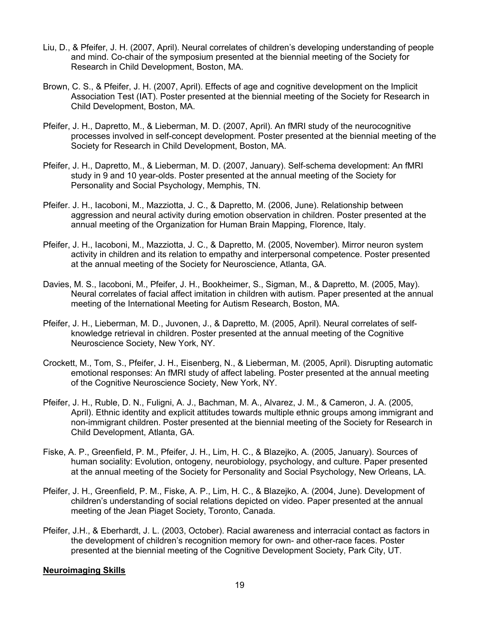- Liu, D., & Pfeifer, J. H. (2007, April). Neural correlates of children's developing understanding of people and mind. Co-chair of the symposium presented at the biennial meeting of the Society for Research in Child Development, Boston, MA.
- Brown, C. S., & Pfeifer, J. H. (2007, April). Effects of age and cognitive development on the Implicit Association Test (IAT). Poster presented at the biennial meeting of the Society for Research in Child Development, Boston, MA.
- Pfeifer, J. H., Dapretto, M., & Lieberman, M. D. (2007, April). An fMRI study of the neurocognitive processes involved in self-concept development. Poster presented at the biennial meeting of the Society for Research in Child Development, Boston, MA.
- Pfeifer, J. H., Dapretto, M., & Lieberman, M. D. (2007, January). Self-schema development: An fMRI study in 9 and 10 year-olds. Poster presented at the annual meeting of the Society for Personality and Social Psychology, Memphis, TN.
- Pfeifer. J. H., Iacoboni, M., Mazziotta, J. C., & Dapretto, M. (2006, June). Relationship between aggression and neural activity during emotion observation in children. Poster presented at the annual meeting of the Organization for Human Brain Mapping, Florence, Italy.
- Pfeifer, J. H., Iacoboni, M., Mazziotta, J. C., & Dapretto, M. (2005, November). Mirror neuron system activity in children and its relation to empathy and interpersonal competence. Poster presented at the annual meeting of the Society for Neuroscience, Atlanta, GA.
- Davies, M. S., Iacoboni, M., Pfeifer, J. H., Bookheimer, S., Sigman, M., & Dapretto, M. (2005, May). Neural correlates of facial affect imitation in children with autism. Paper presented at the annual meeting of the International Meeting for Autism Research, Boston, MA.
- Pfeifer, J. H., Lieberman, M. D., Juvonen, J., & Dapretto, M. (2005, April). Neural correlates of selfknowledge retrieval in children. Poster presented at the annual meeting of the Cognitive Neuroscience Society, New York, NY.
- Crockett, M., Tom, S., Pfeifer, J. H., Eisenberg, N., & Lieberman, M. (2005, April). Disrupting automatic emotional responses: An fMRI study of affect labeling. Poster presented at the annual meeting of the Cognitive Neuroscience Society, New York, NY.
- Pfeifer, J. H., Ruble, D. N., Fuligni, A. J., Bachman, M. A., Alvarez, J. M., & Cameron, J. A. (2005, April). Ethnic identity and explicit attitudes towards multiple ethnic groups among immigrant and non-immigrant children. Poster presented at the biennial meeting of the Society for Research in Child Development, Atlanta, GA.
- Fiske, A. P., Greenfield, P. M., Pfeifer, J. H., Lim, H. C., & Blazejko, A. (2005, January). Sources of human sociality: Evolution, ontogeny, neurobiology, psychology, and culture. Paper presented at the annual meeting of the Society for Personality and Social Psychology, New Orleans, LA.
- Pfeifer, J. H., Greenfield, P. M., Fiske, A. P., Lim, H. C., & Blazejko, A. (2004, June). Development of children's understanding of social relations depicted on video. Paper presented at the annual meeting of the Jean Piaget Society, Toronto, Canada.
- Pfeifer, J.H., & Eberhardt, J. L. (2003, October). Racial awareness and interracial contact as factors in the development of children's recognition memory for own- and other-race faces. Poster presented at the biennial meeting of the Cognitive Development Society, Park City, UT.

## **Neuroimaging Skills**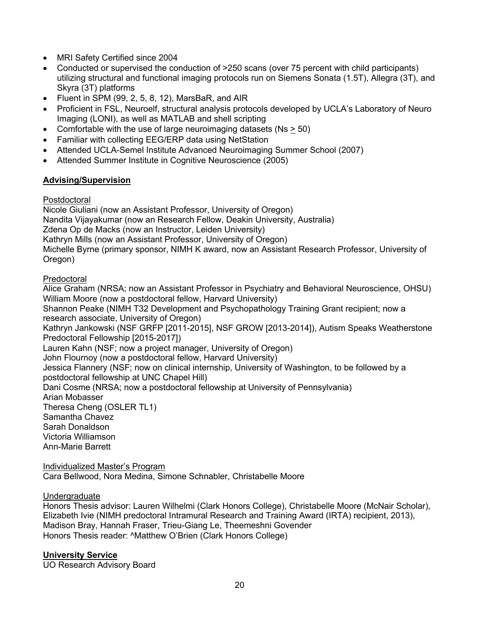- MRI Safety Certified since 2004
- Conducted or supervised the conduction of  $>250$  scans (over 75 percent with child participants) utilizing structural and functional imaging protocols run on Siemens Sonata (1.5T), Allegra (3T), and Skyra (3T) platforms
- Fluent in SPM (99, 2, 5, 8, 12), MarsBaR, and AIR
- Proficient in FSL, Neuroelf, structural analysis protocols developed by UCLA's Laboratory of Neuro Imaging (LONI), as well as MATLAB and shell scripting
- Comfortable with the use of large neuroimaging datasets (Ns > 50)
- Familiar with collecting EEG/ERP data using NetStation
- Attended UCLA-Semel Institute Advanced Neuroimaging Summer School (2007)
- Attended Summer Institute in Cognitive Neuroscience (2005)

## **Advising/Supervision**

### Postdoctoral

Nicole Giuliani (now an Assistant Professor, University of Oregon) Nandita Vijayakumar (now an Research Fellow, Deakin University, Australia) Zdena Op de Macks (now an Instructor, Leiden University) Kathryn Mills (now an Assistant Professor, University of Oregon) Michelle Byrne (primary sponsor, NIMH K award, now an Assistant Research Professor, University of Oregon)

Predoctoral

Alice Graham (NRSA; now an Assistant Professor in Psychiatry and Behavioral Neuroscience, OHSU) William Moore (now a postdoctoral fellow, Harvard University) Shannon Peake (NIMH T32 Development and Psychopathology Training Grant recipient; now a research associate, University of Oregon) Kathryn Jankowski (NSF GRFP [2011-2015], NSF GROW [2013-2014]), Autism Speaks Weatherstone Predoctoral Fellowship [2015-2017]) Lauren Kahn (NSF; now a project manager, University of Oregon) John Flournoy (now a postdoctoral fellow, Harvard University) Jessica Flannery (NSF; now on clinical internship, University of Washington, to be followed by a postdoctoral fellowship at UNC Chapel Hill) Dani Cosme (NRSA; now a postdoctoral fellowship at University of Pennsylvania) Arian Mobasser Theresa Cheng (OSLER TL1) Samantha Chavez Sarah Donaldson Victoria Williamson Ann-Marie Barrett

Individualized Master's Program Cara Bellwood, Nora Medina, Simone Schnabler, Christabelle Moore

#### Undergraduate

Honors Thesis advisor: Lauren Wilhelmi (Clark Honors College), Christabelle Moore (McNair Scholar), Elizabeth Ivie (NIMH predoctoral Intramural Research and Training Award (IRTA) recipient, 2013), Madison Bray, Hannah Fraser, Trieu-Giang Le, Theemeshni Govender Honors Thesis reader: ^Matthew O'Brien (Clark Honors College)

## **University Service**

UO Research Advisory Board